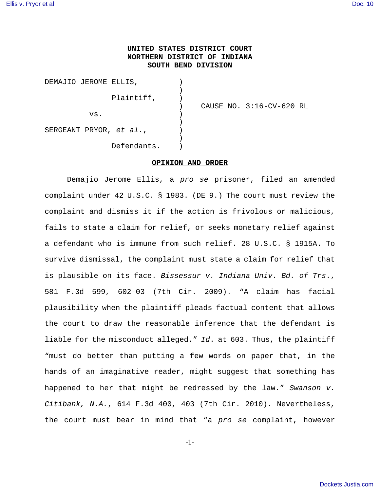## **UNITED STATES DISTRICT COURT NORTHERN DISTRICT OF INDIANA SOUTH BEND DIVISION**

| DEMAJIO JEROME ELLIS,     |             |                          |
|---------------------------|-------------|--------------------------|
|                           | Plaintiff,  |                          |
|                           |             | CAUSE NO. 3:16-CV-620 RL |
| VS.                       |             |                          |
|                           |             |                          |
| SERGEANT PRYOR, $et$ al., |             |                          |
|                           | Defendants. |                          |

## **OPINION AND ORDER**

Demajio Jerome Ellis, a pro se prisoner, filed an amended complaint under 42 U.S.C. § 1983. (DE 9.) The court must review the complaint and dismiss it if the action is frivolous or malicious, fails to state a claim for relief, or seeks monetary relief against a defendant who is immune from such relief. 28 U.S.C. § 1915A. To survive dismissal, the complaint must state a claim for relief that is plausible on its face. Bissessur v. Indiana Univ. Bd. of Trs., 581 F.3d 599, 602-03 (7th Cir. 2009). "A claim has facial plausibility when the plaintiff pleads factual content that allows the court to draw the reasonable inference that the defendant is liable for the misconduct alleged." Id. at 603. Thus, the plaintiff "must do better than putting a few words on paper that, in the hands of an imaginative reader, might suggest that something has happened to her that might be redressed by the law." Swanson v. Citibank, N.A., 614 F.3d 400, 403 (7th Cir. 2010). Nevertheless, the court must bear in mind that "a pro se complaint, however

-1-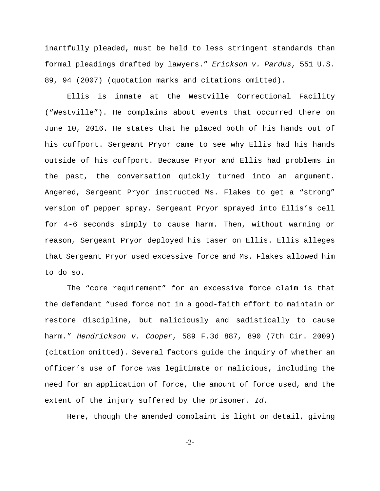inartfully pleaded, must be held to less stringent standards than formal pleadings drafted by lawyers." Erickson v. Pardus, 551 U.S. 89, 94 (2007) (quotation marks and citations omitted).

Ellis is inmate at the Westville Correctional Facility ("Westville"). He complains about events that occurred there on June 10, 2016. He states that he placed both of his hands out of his cuffport. Sergeant Pryor came to see why Ellis had his hands outside of his cuffport. Because Pryor and Ellis had problems in the past, the conversation quickly turned into an argument. Angered, Sergeant Pryor instructed Ms. Flakes to get a "strong" version of pepper spray. Sergeant Pryor sprayed into Ellis's cell for 4-6 seconds simply to cause harm. Then, without warning or reason, Sergeant Pryor deployed his taser on Ellis. Ellis alleges that Sergeant Pryor used excessive force and Ms. Flakes allowed him to do so.

The "core requirement" for an excessive force claim is that the defendant "used force not in a good-faith effort to maintain or restore discipline, but maliciously and sadistically to cause harm." Hendrickson v. Cooper, 589 F.3d 887, 890 (7th Cir. 2009) (citation omitted). Several factors guide the inquiry of whether an officer's use of force was legitimate or malicious, including the need for an application of force, the amount of force used, and the extent of the injury suffered by the prisoner. Id.

Here, though the amended complaint is light on detail, giving

-2-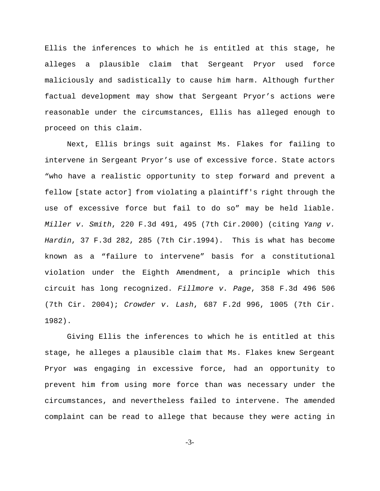Ellis the inferences to which he is entitled at this stage, he alleges a plausible claim that Sergeant Pryor used force maliciously and sadistically to cause him harm. Although further factual development may show that Sergeant Pryor's actions were reasonable under the circumstances, Ellis has alleged enough to proceed on this claim.

Next, Ellis brings suit against Ms. Flakes for failing to intervene in Sergeant Pryor's use of excessive force. State actors "who have a realistic opportunity to step forward and prevent a fellow [state actor] from violating a plaintiff's right through the use of excessive force but fail to do so" may be held liable. Miller v. Smith, 220 F.3d 491, 495 (7th Cir.2000) (citing Yang v. Hardin, 37 F.3d 282, 285 (7th Cir.1994). This is what has become known as a "failure to intervene" basis for a constitutional violation under the Eighth Amendment, a principle which this circuit has long recognized. Fillmore v. Page, 358 F.3d 496 506 (7th Cir. 2004); Crowder v. Lash, 687 F.2d 996, 1005 (7th Cir. 1982).

Giving Ellis the inferences to which he is entitled at this stage, he alleges a plausible claim that Ms. Flakes knew Sergeant Pryor was engaging in excessive force, had an opportunity to prevent him from using more force than was necessary under the circumstances, and nevertheless failed to intervene. The amended complaint can be read to allege that because they were acting in

-3-